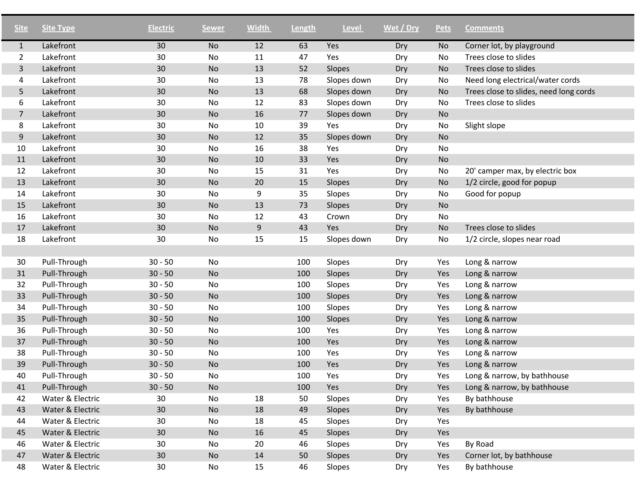| <b>Site</b>    | <b>Site Type</b> | <b>Electric</b> | <b>Sewer</b> | <b>Width</b> | Length | <b>Level</b> | Wet / Dry | <b>Pets</b> | <b>Comments</b>                        |
|----------------|------------------|-----------------|--------------|--------------|--------|--------------|-----------|-------------|----------------------------------------|
| $\mathbf{1}$   | Lakefront        | 30              | No           | 12           | 63     | Yes          | Dry       | No          | Corner lot, by playground              |
| $\overline{2}$ | Lakefront        | 30              | No           | 11           | 47     | Yes          | Dry       | No          | Trees close to slides                  |
| 3              | Lakefront        | 30              | No           | 13           | 52     | Slopes       | Dry       | No          | Trees close to slides                  |
| 4              | Lakefront        | 30              | No           | 13           | 78     | Slopes down  | Dry       | No          | Need long electrical/water cords       |
| 5              | Lakefront        | 30              | <b>No</b>    | 13           | 68     | Slopes down  | Dry       | No          | Trees close to slides, need long cords |
| 6              | Lakefront        | 30              | No           | 12           | 83     | Slopes down  | Dry       | No          | Trees close to slides                  |
| $\overline{7}$ | Lakefront        | 30              | <b>No</b>    | 16           | 77     | Slopes down  | Dry       | No          |                                        |
| 8              | Lakefront        | 30              | No           | 10           | 39     | Yes          | Dry       | No          | Slight slope                           |
| 9              | Lakefront        | 30              | <b>No</b>    | 12           | 35     | Slopes down  | Dry       | No          |                                        |
| 10             | Lakefront        | 30              | No           | 16           | 38     | Yes          | Dry       | No          |                                        |
| 11             | Lakefront        | 30              | <b>No</b>    | 10           | 33     | Yes          | Dry       | No          |                                        |
| 12             | Lakefront        | 30              | No           | 15           | 31     | Yes          | Dry       | No          | 20' camper max, by electric box        |
| 13             | Lakefront        | 30              | No           | 20           | 15     | Slopes       | Dry       | No          | 1/2 circle, good for popup             |
| 14             | Lakefront        | 30              | No           | 9            | 35     | Slopes       | Dry       | No          | Good for popup                         |
| 15             | Lakefront        | 30              | No           | 13           | 73     | Slopes       | Dry       | No          |                                        |
| 16             | Lakefront        | 30              | No           | 12           | 43     | Crown        | Dry       | No          |                                        |
| 17             | Lakefront        | 30              | No           | $9\,$        | 43     | Yes          | Dry       | No          | Trees close to slides                  |
| 18             | Lakefront        | 30              | No           | 15           | 15     | Slopes down  | Dry       | No          | 1/2 circle, slopes near road           |
|                |                  |                 |              |              |        |              |           |             |                                        |
| 30             | Pull-Through     | $30 - 50$       | No           |              | 100    | Slopes       | Dry       | Yes         | Long & narrow                          |
| 31             | Pull-Through     | $30 - 50$       | No           |              | 100    | Slopes       | Dry       | Yes         | Long & narrow                          |
| 32             | Pull-Through     | $30 - 50$       | No           |              | 100    | Slopes       | Dry       | Yes         | Long & narrow                          |
| 33             | Pull-Through     | $30 - 50$       | No           |              | 100    | Slopes       | Dry       | Yes         | Long & narrow                          |
| 34             | Pull-Through     | $30 - 50$       | No           |              | 100    | Slopes       | Dry       | Yes         | Long & narrow                          |
| 35             | Pull-Through     | $30 - 50$       | No           |              | 100    | Slopes       | Dry       | Yes         | Long & narrow                          |
| 36             | Pull-Through     | $30 - 50$       | No           |              | 100    | Yes          | Dry       | Yes         | Long & narrow                          |
| 37             | Pull-Through     | $30 - 50$       | <b>No</b>    |              | 100    | Yes          | Dry       | Yes         | Long & narrow                          |
| 38             | Pull-Through     | $30 - 50$       | No           |              | 100    | Yes          | Dry       | Yes         | Long & narrow                          |
| 39             | Pull-Through     | $30 - 50$       | <b>No</b>    |              | 100    | Yes          | Dry       | Yes         | Long & narrow                          |
| 40             | Pull-Through     | $30 - 50$       | No           |              | 100    | Yes          | Dry       | Yes         | Long & narrow, by bathhouse            |
| 41             | Pull-Through     | $30 - 50$       | No           |              | 100    | Yes          | Dry       | Yes         | Long & narrow, by bathhouse            |
| 42             | Water & Electric | 30              | No           | 18           | 50     | Slopes       | Dry       | Yes         | By bathhouse                           |
| 43             | Water & Electric | 30              | No           | 18           | 49     | Slopes       | Dry       | Yes         | By bathhouse                           |
| 44             | Water & Electric | 30              | No           | 18           | 45     | Slopes       | Dry       | Yes         |                                        |
| 45             | Water & Electric | 30              | No           | 16           | 45     | Slopes       | Dry       | Yes         |                                        |
| 46             | Water & Electric | 30              | No           | 20           | 46     | Slopes       | Dry       | Yes         | By Road                                |
| 47             | Water & Electric | 30              | <b>No</b>    | 14           | 50     | Slopes       | Dry       | Yes         | Corner lot, by bathhouse               |
| 48             | Water & Electric | 30              | No           | 15           | 46     | Slopes       | Dry       | Yes         | By bathhouse                           |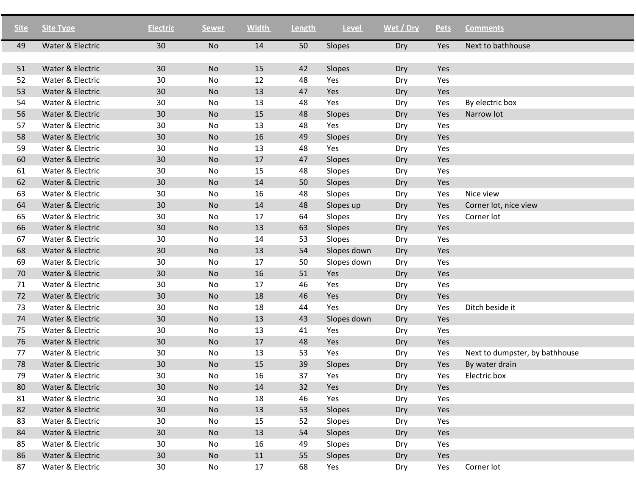| <b>Site</b> | <b>Site Type</b> | <b>Electric</b> | <b>Sewer</b> | <b>Width</b> | Length | <b>Level</b> | Wet / Dry | <b>Pets</b> | <b>Comments</b>                |
|-------------|------------------|-----------------|--------------|--------------|--------|--------------|-----------|-------------|--------------------------------|
| 49          | Water & Electric | 30              | <b>No</b>    | 14           | 50     | Slopes       | Dry       | Yes         | Next to bathhouse              |
|             |                  |                 |              |              |        |              |           |             |                                |
| 51          | Water & Electric | 30              | <b>No</b>    | 15           | 42     | Slopes       | Dry       | Yes         |                                |
| 52          | Water & Electric | 30              | No           | 12           | 48     | Yes          | Dry       | Yes         |                                |
| 53          | Water & Electric | 30              | <b>No</b>    | 13           | 47     | Yes          | Dry       | Yes         |                                |
| 54          | Water & Electric | 30              | No           | 13           | 48     | Yes          | Dry       | Yes         | By electric box                |
| 56          | Water & Electric | 30              | <b>No</b>    | 15           | 48     | Slopes       | Dry       | Yes         | Narrow lot                     |
| 57          | Water & Electric | 30              | No           | 13           | 48     | Yes          | Dry       | Yes         |                                |
| 58          | Water & Electric | 30              | <b>No</b>    | 16           | 49     | Slopes       | Dry       | Yes         |                                |
| 59          | Water & Electric | 30              | No           | 13           | 48     | Yes          | Dry       | Yes         |                                |
| 60          | Water & Electric | 30              | No           | 17           | 47     | Slopes       | Dry       | Yes         |                                |
| 61          | Water & Electric | 30              | No           | 15           | 48     | Slopes       | Dry       | Yes         |                                |
| 62          | Water & Electric | 30              | No           | 14           | 50     | Slopes       | Dry       | Yes         |                                |
| 63          | Water & Electric | 30              | No           | 16           | 48     | Slopes       | Dry       | Yes         | Nice view                      |
| 64          | Water & Electric | 30              | <b>No</b>    | 14           | 48     | Slopes up    | Dry       | Yes         | Corner lot, nice view          |
| 65          | Water & Electric | 30              | No           | 17           | 64     | Slopes       | Dry       | Yes         | Corner lot                     |
| 66          | Water & Electric | 30              | <b>No</b>    | 13           | 63     | Slopes       | Dry       | Yes         |                                |
| 67          | Water & Electric | 30              | No           | 14           | 53     | Slopes       | Dry       | Yes         |                                |
| 68          | Water & Electric | 30              | <b>No</b>    | 13           | 54     | Slopes down  | Dry       | Yes         |                                |
| 69          | Water & Electric | 30              | No           | 17           | 50     | Slopes down  | Dry       | Yes         |                                |
| 70          | Water & Electric | 30              | <b>No</b>    | 16           | 51     | Yes          | Dry       | Yes         |                                |
| 71          | Water & Electric | 30              | No           | 17           | 46     | Yes          | Dry       | Yes         |                                |
| 72          | Water & Electric | 30              | No           | 18           | 46     | Yes          | Dry       | Yes         |                                |
| 73          | Water & Electric | 30              | No           | 18           | 44     | Yes          | Dry       | Yes         | Ditch beside it                |
| 74          | Water & Electric | 30              | No           | 13           | 43     | Slopes down  | Dry       | Yes         |                                |
| 75          | Water & Electric | 30              | No           | 13           | 41     | Yes          | Dry       | Yes         |                                |
| 76          | Water & Electric | 30              | <b>No</b>    | 17           | 48     | Yes          | Dry       | Yes         |                                |
| 77          | Water & Electric | 30              | No           | 13           | 53     | Yes          | Dry       | Yes         | Next to dumpster, by bathhouse |
| 78          | Water & Electric | 30              | <b>No</b>    | 15           | 39     | Slopes       | Dry       | Yes         | By water drain                 |
| 79          | Water & Electric | 30              | No           | 16           | 37     | Yes          | Dry       | Yes         | Electric box                   |
| 80          | Water & Electric | 30              | No           | 14           | 32     | Yes          | Dry       | Yes         |                                |
| 81          | Water & Electric | 30              | No           | 18           | 46     | Yes          | Dry       | Yes         |                                |
| 82          | Water & Electric | 30              | <b>No</b>    | 13           | 53     | Slopes       | Dry       | Yes         |                                |
| 83          | Water & Electric | 30              | No           | 15           | 52     | Slopes       | Dry       | Yes         |                                |
| 84          | Water & Electric | 30              | <b>No</b>    | 13           | 54     | Slopes       | Dry       | Yes         |                                |
| 85          | Water & Electric | 30              | No           | 16           | 49     | Slopes       | Dry       | Yes         |                                |
| 86          | Water & Electric | 30 <sup>°</sup> | <b>No</b>    | 11           | 55     | Slopes       | Dry       | Yes         |                                |
| 87          | Water & Electric | 30              | No           | 17           | 68     | Yes          | Dry       | Yes         | Corner lot                     |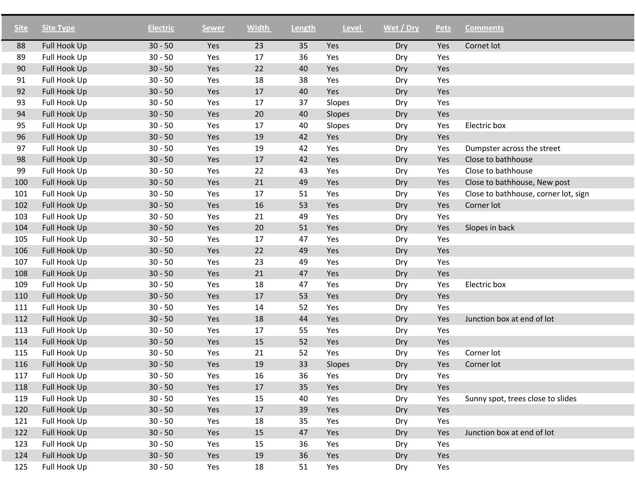| <b>Site</b> | <b>Site Type</b> | <b>Electric</b> | <b>Sewer</b> | <b>Width</b> | Length | <b>Level</b> | Wet / Dry | <b>Pets</b> | <b>Comments</b>                      |
|-------------|------------------|-----------------|--------------|--------------|--------|--------------|-----------|-------------|--------------------------------------|
| 88          | Full Hook Up     | $30 - 50$       | Yes          | 23           | 35     | Yes          | Dry       | Yes         | Cornet lot                           |
| 89          | Full Hook Up     | $30 - 50$       | Yes          | 17           | 36     | Yes          | Dry       | Yes         |                                      |
| 90          | Full Hook Up     | $30 - 50$       | Yes          | 22           | 40     | Yes          | Dry       | Yes         |                                      |
| 91          | Full Hook Up     | $30 - 50$       | Yes          | 18           | 38     | Yes          | Dry       | Yes         |                                      |
| 92          | Full Hook Up     | $30 - 50$       | Yes          | 17           | 40     | Yes          | Dry       | Yes         |                                      |
| 93          | Full Hook Up     | $30 - 50$       | Yes          | 17           | 37     | Slopes       | Dry       | Yes         |                                      |
| 94          | Full Hook Up     | $30 - 50$       | Yes          | 20           | 40     | Slopes       | Dry       | Yes         |                                      |
| 95          | Full Hook Up     | $30 - 50$       | Yes          | 17           | 40     | Slopes       | Dry       | Yes         | Electric box                         |
| 96          | Full Hook Up     | $30 - 50$       | Yes          | 19           | 42     | Yes          | Dry       | Yes         |                                      |
| 97          | Full Hook Up     | $30 - 50$       | Yes          | 19           | 42     | Yes          | Dry       | Yes         | Dumpster across the street           |
| 98          | Full Hook Up     | $30 - 50$       | Yes          | 17           | 42     | Yes          | Dry       | Yes         | Close to bathhouse                   |
| 99          | Full Hook Up     | $30 - 50$       | Yes          | 22           | 43     | Yes          | Dry       | Yes         | Close to bathhouse                   |
| 100         | Full Hook Up     | $30 - 50$       | Yes          | 21           | 49     | Yes          | Dry       | Yes         | Close to bathhouse, New post         |
| 101         | Full Hook Up     | $30 - 50$       | Yes          | 17           | 51     | Yes          | Dry       | Yes         | Close to bathhouse, corner lot, sign |
| 102         | Full Hook Up     | $30 - 50$       | Yes          | 16           | 53     | Yes          | Dry       | Yes         | Corner lot                           |
| 103         | Full Hook Up     | $30 - 50$       | Yes          | 21           | 49     | Yes          | Dry       | Yes         |                                      |
| 104         | Full Hook Up     | $30 - 50$       | Yes          | 20           | 51     | Yes          | Dry       | Yes         | Slopes in back                       |
| 105         | Full Hook Up     | $30 - 50$       | Yes          | 17           | 47     | Yes          | Dry       | Yes         |                                      |
| 106         | Full Hook Up     | $30 - 50$       | Yes          | 22           | 49     | Yes          | Dry       | Yes         |                                      |
| 107         | Full Hook Up     | $30 - 50$       | Yes          | 23           | 49     | Yes          | Dry       | Yes         |                                      |
| 108         | Full Hook Up     | $30 - 50$       | Yes          | 21           | 47     | Yes          | Dry       | Yes         |                                      |
| 109         | Full Hook Up     | $30 - 50$       | Yes          | 18           | 47     | Yes          | Dry       | Yes         | Electric box                         |
| 110         | Full Hook Up     | $30 - 50$       | Yes          | 17           | 53     | Yes          | Dry       | Yes         |                                      |
| 111         | Full Hook Up     | $30 - 50$       | Yes          | 14           | 52     | Yes          | Dry       | Yes         |                                      |
| 112         | Full Hook Up     | $30 - 50$       | Yes          | 18           | 44     | Yes          | Dry       | Yes         | Junction box at end of lot           |
| 113         | Full Hook Up     | $30 - 50$       | Yes          | 17           | 55     | Yes          | Dry       | Yes         |                                      |
| 114         | Full Hook Up     | $30 - 50$       | Yes          | 15           | 52     | Yes          | Dry       | Yes         |                                      |
| 115         | Full Hook Up     | $30 - 50$       | Yes          | 21           | 52     | Yes          | Dry       | Yes         | Corner lot                           |
| 116         | Full Hook Up     | $30 - 50$       | Yes          | 19           | 33     | Slopes       | Dry       | Yes         | Corner lot                           |
| 117         | Full Hook Up     | $30 - 50$       | Yes          | 16           | 36     | Yes          | Dry       | Yes         |                                      |
| 118         | Full Hook Up     | $30 - 50$       | Yes          | 17           | 35     | Yes          | Dry       | Yes         |                                      |
| 119         | Full Hook Up     | $30 - 50$       | Yes          | 15           | 40     | Yes          | Dry       | Yes         | Sunny spot, trees close to slides    |
| 120         | Full Hook Up     | $30 - 50$       | Yes          | 17           | 39     | Yes          | Dry       | Yes         |                                      |
| 121         | Full Hook Up     | $30 - 50$       | Yes          | 18           | 35     | Yes          | Dry       | Yes         |                                      |
| 122         | Full Hook Up     | $30 - 50$       | Yes          | 15           | 47     | Yes          | Dry       | Yes         | Junction box at end of lot           |
| 123         | Full Hook Up     | $30 - 50$       | Yes          | 15           | 36     | Yes          | Dry       | Yes         |                                      |
| 124         | Full Hook Up     | $30 - 50$       | Yes          | 19           | 36     | Yes          | Dry       | Yes         |                                      |
| 125         | Full Hook Up     | $30 - 50$       | Yes          | 18           | 51     | Yes          | Dry       | Yes         |                                      |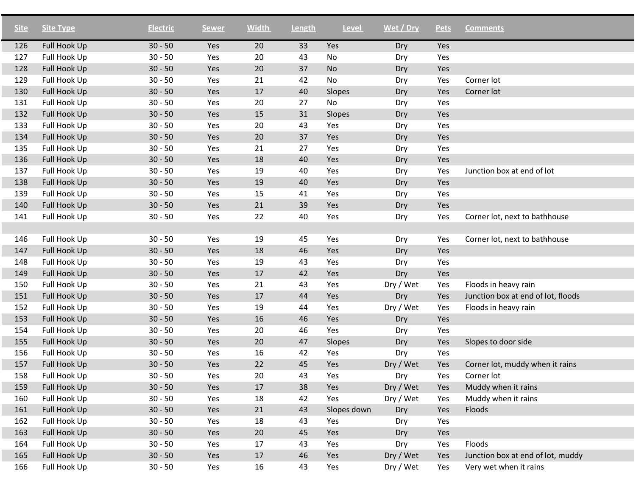| <b>Site</b> | <b>Site Type</b> | <b>Electric</b> | <b>Sewer</b> | <b>Width</b> | Length | <b>Level</b> | Wet / Dry | <b>Pets</b> | <b>Comments</b>                    |
|-------------|------------------|-----------------|--------------|--------------|--------|--------------|-----------|-------------|------------------------------------|
| 126         | Full Hook Up     | $30 - 50$       | Yes          | 20           | 33     | Yes          | Dry       | Yes         |                                    |
| 127         | Full Hook Up     | $30 - 50$       | Yes          | 20           | 43     | No           | Dry       | Yes         |                                    |
| 128         | Full Hook Up     | $30 - 50$       | Yes          | 20           | 37     | <b>No</b>    | Dry       | Yes         |                                    |
| 129         | Full Hook Up     | $30 - 50$       | Yes          | 21           | 42     | <b>No</b>    | Dry       | Yes         | Corner lot                         |
| 130         | Full Hook Up     | $30 - 50$       | Yes          | 17           | 40     | Slopes       | Dry       | Yes         | Corner lot                         |
| 131         | Full Hook Up     | $30 - 50$       | Yes          | 20           | 27     | <b>No</b>    | Dry       | Yes         |                                    |
| 132         | Full Hook Up     | $30 - 50$       | Yes          | 15           | 31     | Slopes       | Dry       | Yes         |                                    |
| 133         | Full Hook Up     | $30 - 50$       | Yes          | 20           | 43     | Yes          | Dry       | Yes         |                                    |
| 134         | Full Hook Up     | $30 - 50$       | Yes          | 20           | 37     | Yes          | Dry       | Yes         |                                    |
| 135         | Full Hook Up     | $30 - 50$       | Yes          | 21           | 27     | Yes          | Dry       | Yes         |                                    |
| 136         | Full Hook Up     | $30 - 50$       | Yes          | 18           | 40     | Yes          | Dry       | Yes         |                                    |
| 137         | Full Hook Up     | $30 - 50$       | Yes          | 19           | 40     | Yes          | Dry       | Yes         | Junction box at end of lot         |
| 138         | Full Hook Up     | $30 - 50$       | Yes          | 19           | 40     | Yes          | Dry       | Yes         |                                    |
| 139         | Full Hook Up     | $30 - 50$       | Yes          | 15           | 41     | Yes          | Dry       | Yes         |                                    |
| 140         | Full Hook Up     | $30 - 50$       | Yes          | 21           | 39     | Yes          | Dry       | Yes         |                                    |
| 141         | Full Hook Up     | $30 - 50$       | Yes          | 22           | 40     | Yes          | Dry       | Yes         | Corner lot, next to bathhouse      |
|             |                  |                 |              |              |        |              |           |             |                                    |
| 146         | Full Hook Up     | $30 - 50$       | Yes          | 19           | 45     | Yes          | Dry       | Yes         | Corner lot, next to bathhouse      |
| 147         | Full Hook Up     | $30 - 50$       | Yes          | 18           | 46     | Yes          | Dry       | Yes         |                                    |
| 148         | Full Hook Up     | $30 - 50$       | Yes          | 19           | 43     | Yes          | Dry       | Yes         |                                    |
| 149         | Full Hook Up     | $30 - 50$       | Yes          | 17           | 42     | Yes          | Dry       | Yes         |                                    |
| 150         | Full Hook Up     | $30 - 50$       | Yes          | 21           | 43     | Yes          | Dry / Wet | Yes         | Floods in heavy rain               |
| 151         | Full Hook Up     | $30 - 50$       | Yes          | 17           | 44     | Yes          | Dry       | Yes         | Junction box at end of lot, floods |
| 152         | Full Hook Up     | $30 - 50$       | Yes          | 19           | 44     | Yes          | Dry / Wet | Yes         | Floods in heavy rain               |
| 153         | Full Hook Up     | $30 - 50$       | Yes          | 16           | 46     | Yes          | Dry       | Yes         |                                    |
| 154         | Full Hook Up     | $30 - 50$       | Yes          | 20           | 46     | Yes          | Dry       | Yes         |                                    |
| 155         | Full Hook Up     | $30 - 50$       | Yes          | 20           | 47     | Slopes       | Dry       | Yes         | Slopes to door side                |
| 156         | Full Hook Up     | $30 - 50$       | Yes          | 16           | 42     | Yes          | Dry       | Yes         |                                    |
| 157         | Full Hook Up     | $30 - 50$       | Yes          | 22           | 45     | Yes          | Dry / Wet | Yes         | Corner lot, muddy when it rains    |
| 158         | Full Hook Up     | $30 - 50$       | Yes          | 20           | 43     | Yes          | Dry       | Yes         | Corner lot                         |
| 159         | Full Hook Up     | $30 - 50$       | Yes          | 17           | 38     | Yes          | Dry / Wet | Yes         | Muddy when it rains                |
| 160         | Full Hook Up     | $30 - 50$       | Yes          | 18           | 42     | Yes          | Dry / Wet | Yes         | Muddy when it rains                |
| 161         | Full Hook Up     | $30 - 50$       | Yes          | 21           | 43     | Slopes down  | Dry       | Yes         | Floods                             |
| 162         | Full Hook Up     | $30 - 50$       | Yes          | 18           | 43     | Yes          | Dry       | Yes         |                                    |
| 163         | Full Hook Up     | $30 - 50$       | Yes          | 20           | 45     | Yes          | Dry       | Yes         |                                    |
| 164         | Full Hook Up     | $30 - 50$       | Yes          | 17           | 43     | Yes          | Dry       | Yes         | Floods                             |
| 165         | Full Hook Up     | $30 - 50$       | Yes          | 17           | 46     | Yes          | Dry / Wet | Yes         | Junction box at end of lot, muddy  |
| 166         | Full Hook Up     | $30 - 50$       | Yes          | 16           | 43     | Yes          | Dry / Wet | Yes         | Very wet when it rains             |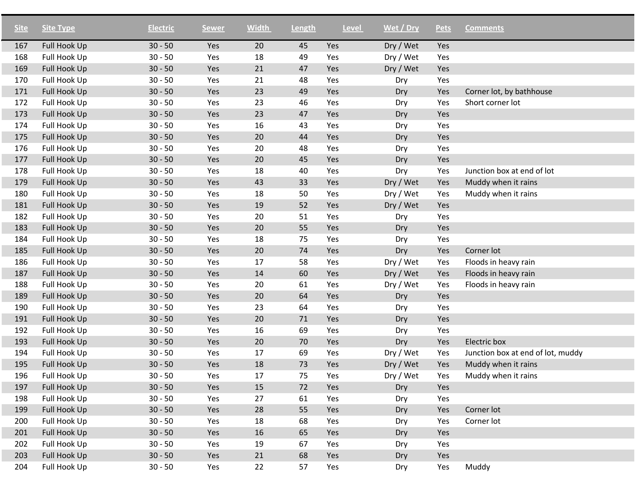| <b>Site</b> | <b>Site Type</b> | <b>Electric</b> | <b>Sewer</b> | <b>Width</b> | Length | Level | Wet / Dry | <b>Pets</b> | <b>Comments</b>                   |
|-------------|------------------|-----------------|--------------|--------------|--------|-------|-----------|-------------|-----------------------------------|
| 167         | Full Hook Up     | $30 - 50$       | Yes          | 20           | 45     | Yes   | Dry / Wet | Yes         |                                   |
| 168         | Full Hook Up     | $30 - 50$       | Yes          | 18           | 49     | Yes   | Dry / Wet | Yes         |                                   |
| 169         | Full Hook Up     | $30 - 50$       | Yes          | 21           | 47     | Yes   | Dry / Wet | Yes         |                                   |
| 170         | Full Hook Up     | $30 - 50$       | Yes          | 21           | 48     | Yes   | Dry       | Yes         |                                   |
| 171         | Full Hook Up     | $30 - 50$       | Yes          | 23           | 49     | Yes   | Dry       | Yes         | Corner lot, by bathhouse          |
| 172         | Full Hook Up     | $30 - 50$       | Yes          | 23           | 46     | Yes   | Dry       | Yes         | Short corner lot                  |
| 173         | Full Hook Up     | $30 - 50$       | Yes          | 23           | 47     | Yes   | Dry       | Yes         |                                   |
| 174         | Full Hook Up     | $30 - 50$       | Yes          | 16           | 43     | Yes   | Dry       | Yes         |                                   |
| 175         | Full Hook Up     | $30 - 50$       | Yes          | 20           | 44     | Yes   | Dry       | Yes         |                                   |
| 176         | Full Hook Up     | $30 - 50$       | Yes          | 20           | 48     | Yes   | Dry       | Yes         |                                   |
| 177         | Full Hook Up     | $30 - 50$       | Yes          | 20           | 45     | Yes   | Dry       | Yes         |                                   |
| 178         | Full Hook Up     | $30 - 50$       | Yes          | 18           | 40     | Yes   | Dry       | Yes         | Junction box at end of lot        |
| 179         | Full Hook Up     | $30 - 50$       | Yes          | 43           | 33     | Yes   | Dry / Wet | Yes         | Muddy when it rains               |
| 180         | Full Hook Up     | $30 - 50$       | Yes          | 18           | 50     | Yes   | Dry / Wet | Yes         | Muddy when it rains               |
| 181         | Full Hook Up     | $30 - 50$       | Yes          | 19           | 52     | Yes   | Dry / Wet | Yes         |                                   |
| 182         | Full Hook Up     | $30 - 50$       | Yes          | 20           | 51     | Yes   | Dry       | Yes         |                                   |
| 183         | Full Hook Up     | $30 - 50$       | Yes          | 20           | 55     | Yes   | Dry       | Yes         |                                   |
| 184         | Full Hook Up     | $30 - 50$       | Yes          | 18           | 75     | Yes   | Dry       | Yes         |                                   |
| 185         | Full Hook Up     | $30 - 50$       | Yes          | 20           | 74     | Yes   | Dry       | Yes         | Corner lot                        |
| 186         | Full Hook Up     | $30 - 50$       | Yes          | 17           | 58     | Yes   | Dry / Wet | Yes         | Floods in heavy rain              |
| 187         | Full Hook Up     | $30 - 50$       | Yes          | 14           | 60     | Yes   | Dry / Wet | Yes         | Floods in heavy rain              |
| 188         | Full Hook Up     | $30 - 50$       | Yes          | 20           | 61     | Yes   | Dry / Wet | Yes         | Floods in heavy rain              |
| 189         | Full Hook Up     | $30 - 50$       | Yes          | 20           | 64     | Yes   | Dry       | Yes         |                                   |
| 190         | Full Hook Up     | $30 - 50$       | Yes          | 23           | 64     | Yes   | Dry       | Yes         |                                   |
| 191         | Full Hook Up     | $30 - 50$       | Yes          | 20           | 71     | Yes   | Dry       | Yes         |                                   |
| 192         | Full Hook Up     | $30 - 50$       | Yes          | 16           | 69     | Yes   | Dry       | Yes         |                                   |
| 193         | Full Hook Up     | $30 - 50$       | Yes          | 20           | 70     | Yes   | Dry       | Yes         | Electric box                      |
| 194         | Full Hook Up     | $30 - 50$       | Yes          | 17           | 69     | Yes   | Dry / Wet | Yes         | Junction box at end of lot, muddy |
| 195         | Full Hook Up     | $30 - 50$       | Yes          | 18           | 73     | Yes   | Dry / Wet | Yes         | Muddy when it rains               |
| 196         | Full Hook Up     | $30 - 50$       | Yes          | 17           | 75     | Yes   | Dry / Wet | Yes         | Muddy when it rains               |
| 197         | Full Hook Up     | $30 - 50$       | Yes          | 15           | 72     | Yes   | Dry       | Yes         |                                   |
| 198         | Full Hook Up     | $30 - 50$       | Yes          | 27           | 61     | Yes   | Dry       | Yes         |                                   |
| 199         | Full Hook Up     | $30 - 50$       | Yes          | 28           | 55     | Yes   | Dry       | Yes         | Corner lot                        |
| 200         | Full Hook Up     | $30 - 50$       | Yes          | 18           | 68     | Yes   | Dry       | Yes         | Corner lot                        |
| 201         | Full Hook Up     | $30 - 50$       | Yes          | 16           | 65     | Yes   | Dry       | Yes         |                                   |
| 202         | Full Hook Up     | $30 - 50$       | Yes          | 19           | 67     | Yes   | Dry       | Yes         |                                   |
| 203         | Full Hook Up     | $30 - 50$       | Yes          | 21           | 68     | Yes   | Dry       | Yes         |                                   |
| 204         | Full Hook Up     | $30 - 50$       | Yes          | 22           | 57     | Yes   | Dry       | Yes         | Muddy                             |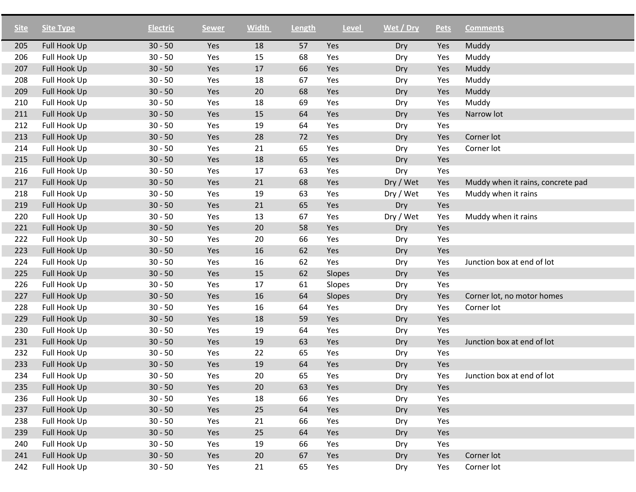| <b>Site</b> | <b>Site Type</b>    | <b>Electric</b> | <b>Sewer</b> | <b>Width</b> | Length | <b>Level</b> | Wet / Dry | <b>Pets</b> | <b>Comments</b>                   |
|-------------|---------------------|-----------------|--------------|--------------|--------|--------------|-----------|-------------|-----------------------------------|
| 205         | <b>Full Hook Up</b> | $30 - 50$       | Yes          | 18           | 57     | Yes          | Dry       | Yes         | Muddy                             |
| 206         | Full Hook Up        | $30 - 50$       | Yes          | 15           | 68     | Yes          | Dry       | Yes         | Muddy                             |
| 207         | Full Hook Up        | $30 - 50$       | Yes          | 17           | 66     | Yes          | Dry       | Yes         | Muddy                             |
| 208         | Full Hook Up        | $30 - 50$       | Yes          | 18           | 67     | Yes          | Dry       | Yes         | Muddy                             |
| 209         | Full Hook Up        | $30 - 50$       | Yes          | 20           | 68     | Yes          | Dry       | Yes         | Muddy                             |
| 210         | Full Hook Up        | $30 - 50$       | Yes          | 18           | 69     | Yes          | Dry       | Yes         | Muddy                             |
| 211         | Full Hook Up        | $30 - 50$       | Yes          | 15           | 64     | Yes          | Dry       | Yes         | Narrow lot                        |
| 212         | Full Hook Up        | $30 - 50$       | Yes          | 19           | 64     | Yes          | Dry       | Yes         |                                   |
| 213         | Full Hook Up        | $30 - 50$       | Yes          | 28           | 72     | Yes          | Dry       | Yes         | Corner lot                        |
| 214         | Full Hook Up        | $30 - 50$       | Yes          | 21           | 65     | Yes          | Dry       | Yes         | Corner lot                        |
| 215         | Full Hook Up        | $30 - 50$       | Yes          | 18           | 65     | Yes          | Dry       | Yes         |                                   |
| 216         | Full Hook Up        | $30 - 50$       | Yes          | 17           | 63     | Yes          | Dry       | Yes         |                                   |
| 217         | Full Hook Up        | $30 - 50$       | Yes          | 21           | 68     | Yes          | Dry / Wet | Yes         | Muddy when it rains, concrete pad |
| 218         | Full Hook Up        | $30 - 50$       | Yes          | 19           | 63     | Yes          | Dry / Wet | Yes         | Muddy when it rains               |
| 219         | Full Hook Up        | $30 - 50$       | Yes          | 21           | 65     | Yes          | Dry       | Yes         |                                   |
| 220         | Full Hook Up        | $30 - 50$       | Yes          | 13           | 67     | Yes          | Dry / Wet | Yes         | Muddy when it rains               |
| 221         | Full Hook Up        | $30 - 50$       | Yes          | 20           | 58     | Yes          | Dry       | Yes         |                                   |
| 222         | Full Hook Up        | $30 - 50$       | Yes          | 20           | 66     | Yes          | Dry       | Yes         |                                   |
| 223         | Full Hook Up        | $30 - 50$       | Yes          | 16           | 62     | Yes          | Dry       | Yes         |                                   |
| 224         | Full Hook Up        | $30 - 50$       | Yes          | 16           | 62     | Yes          | Dry       | Yes         | Junction box at end of lot        |
| 225         | Full Hook Up        | $30 - 50$       | Yes          | 15           | 62     | Slopes       | Dry       | Yes         |                                   |
| 226         | Full Hook Up        | $30 - 50$       | Yes          | 17           | 61     | Slopes       | Dry       | Yes         |                                   |
| 227         | Full Hook Up        | $30 - 50$       | Yes          | 16           | 64     | Slopes       | Dry       | Yes         | Corner lot, no motor homes        |
| 228         | Full Hook Up        | $30 - 50$       | Yes          | 16           | 64     | Yes          | Dry       | Yes         | Corner lot                        |
| 229         | Full Hook Up        | $30 - 50$       | Yes          | 18           | 59     | Yes          | Dry       | Yes         |                                   |
| 230         | Full Hook Up        | $30 - 50$       | Yes          | 19           | 64     | Yes          | Dry       | Yes         |                                   |
| 231         | Full Hook Up        | $30 - 50$       | Yes          | 19           | 63     | Yes          | Dry       | Yes         | Junction box at end of lot        |
| 232         | Full Hook Up        | $30 - 50$       | Yes          | 22           | 65     | Yes          | Dry       | Yes         |                                   |
| 233         | <b>Full Hook Up</b> | $30 - 50$       | Yes          | 19           | 64     | Yes          | Dry       | Yes         |                                   |
| 234         | Full Hook Up        | $30 - 50$       | Yes          | 20           | 65     | Yes          | Dry       | Yes         | Junction box at end of lot        |
| 235         | Full Hook Up        | $30 - 50$       | Yes          | 20           | 63     | Yes          | Dry       | Yes         |                                   |
| 236         | Full Hook Up        | $30 - 50$       | Yes          | 18           | 66     | Yes          | Dry       | Yes         |                                   |
| 237         | Full Hook Up        | $30 - 50$       | Yes          | 25           | 64     | Yes          | Dry       | Yes         |                                   |
| 238         | Full Hook Up        | $30 - 50$       | Yes          | 21           | 66     | Yes          | Dry       | Yes         |                                   |
| 239         | Full Hook Up        | $30 - 50$       | Yes          | 25           | 64     | Yes          | Dry       | Yes         |                                   |
| 240         | Full Hook Up        | $30 - 50$       | Yes          | 19           | 66     | Yes          | Dry       | Yes         |                                   |
| 241         | Full Hook Up        | $30 - 50$       | Yes          | 20           | 67     | Yes          | Dry       | Yes         | Corner lot                        |
| 242         | Full Hook Up        | $30 - 50$       | Yes          | 21           | 65     | Yes          | Dry       | Yes         | Corner lot                        |